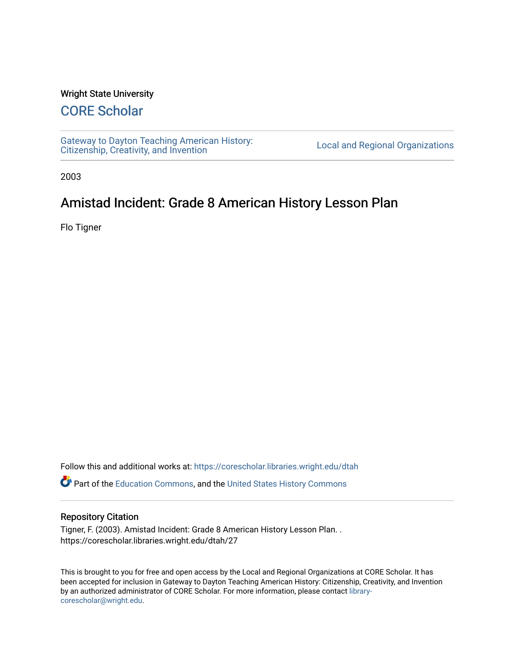## Wright State University

## [CORE Scholar](https://corescholar.libraries.wright.edu/)

[Gateway to Dayton Teaching American History:](https://corescholar.libraries.wright.edu/dtah)  Gateway to Dayton Teaching American History.<br>[Citizenship, Creativity, and Invention](https://corescholar.libraries.wright.edu/dtah) Local and Regional Organizations

2003

## Amistad Incident: Grade 8 American History Lesson Plan

Flo Tigner

Follow this and additional works at: [https://corescholar.libraries.wright.edu/dtah](https://corescholar.libraries.wright.edu/dtah?utm_source=corescholar.libraries.wright.edu%2Fdtah%2F27&utm_medium=PDF&utm_campaign=PDFCoverPages)

Part of the [Education Commons](http://network.bepress.com/hgg/discipline/784?utm_source=corescholar.libraries.wright.edu%2Fdtah%2F27&utm_medium=PDF&utm_campaign=PDFCoverPages), and the [United States History Commons](http://network.bepress.com/hgg/discipline/495?utm_source=corescholar.libraries.wright.edu%2Fdtah%2F27&utm_medium=PDF&utm_campaign=PDFCoverPages) 

## Repository Citation

Tigner, F. (2003). Amistad Incident: Grade 8 American History Lesson Plan. . https://corescholar.libraries.wright.edu/dtah/27

This is brought to you for free and open access by the Local and Regional Organizations at CORE Scholar. It has been accepted for inclusion in Gateway to Dayton Teaching American History: Citizenship, Creativity, and Invention by an authorized administrator of CORE Scholar. For more information, please contact [library](mailto:library-corescholar@wright.edu)[corescholar@wright.edu](mailto:library-corescholar@wright.edu).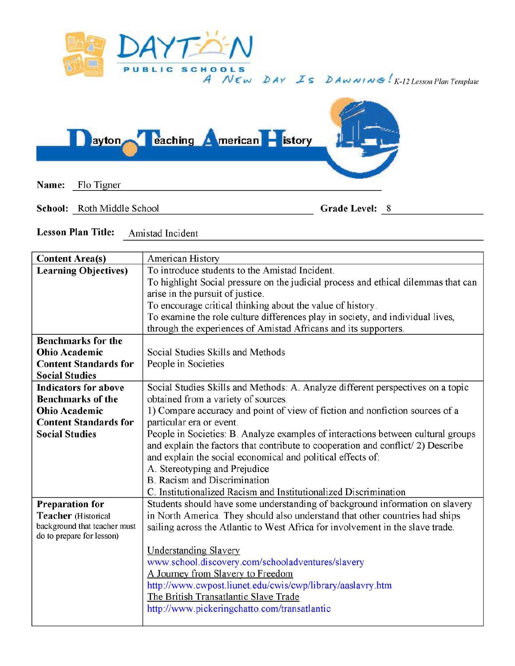

*A N* £ w **bAY** *..z'S* **b Aw AI I** *AJ <!It* ! *K-12 Lesson Plan Template* 



**School:** Roth Middle School **Grade Level:** 8-

**Lesson Plan Title:** Amistad Incident

| <b>Content Area(s)</b>                                    | American History                                                                   |
|-----------------------------------------------------------|------------------------------------------------------------------------------------|
| <b>Learning Objectives)</b>                               | To introduce students to the Amistad Incident.                                     |
|                                                           | To highlight Social pressure on the judicial process and ethical dilemmas that can |
|                                                           | arise in the pursuit of justice.                                                   |
|                                                           | To encourage critical thinking about the value of history.                         |
|                                                           | To examine the role culture differences play in society, and individual lives,     |
|                                                           | through the experiences of Amistad Africans and its supporters.                    |
| <b>Benchmarks for the</b>                                 |                                                                                    |
| <b>Ohio Academic</b>                                      | Social Studies Skills and Methods                                                  |
| <b>Content Standards for</b>                              | People in Societies                                                                |
| <b>Social Studies</b>                                     |                                                                                    |
| <b>Indicators for above</b>                               | Social Studies Skills and Methods: A. Analyze different perspectives on a topic    |
| <b>Benchmarks of the</b>                                  | obtained from a variety of sources.                                                |
| <b>Ohio Academic</b>                                      | 1) Compare accuracy and point of view of fiction and nonfiction sources of a       |
| <b>Content Standards for</b>                              | particular era or event.                                                           |
| <b>Social Studies</b>                                     | People in Societies: B. Analyze examples of interactions between cultural groups   |
|                                                           | and explain the factors that contribute to cooperation and conflict/2) Describe    |
|                                                           | and explain the social economical and political effects of:                        |
|                                                           | A. Stereotyping and Prejudice                                                      |
|                                                           | <b>B.</b> Racism and Discrimination                                                |
|                                                           | C. Institutionalized Racism and Institutionalized Discrimination                   |
| <b>Preparation for</b>                                    | Students should have some understanding of background information on slavery       |
| <b>Teacher</b> (Historical                                | in North America. They should also understand that other countries had ships       |
| background that teacher must<br>do to prepare for lesson) | sailing across the Atlantic to West Africa for involvement in the slave trade.     |
|                                                           | <b>Understanding Slavery</b>                                                       |
|                                                           | www.school.discovery.com/schooladventures/slavery                                  |
|                                                           | A Journey from Slavery to Freedom                                                  |
|                                                           |                                                                                    |
|                                                           | http://www.cwpost.liunet.edu/cwis/cwp/library/aaslavry.htm                         |
|                                                           | The British Transatlantic Slave Trade                                              |
|                                                           | http://www.pickeringchatto.com/transatlantic                                       |
|                                                           |                                                                                    |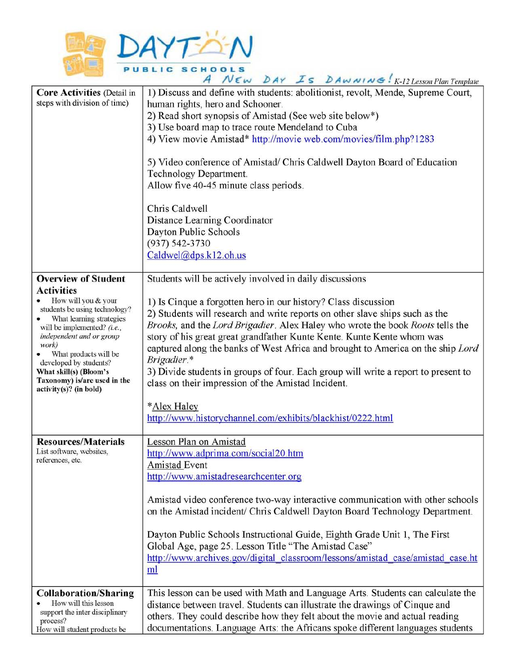

| A NEW DAY IS DAWNING: K-12 Lesson Plan Template                                                                                                                                                                                                                                                                                                    |                                                                                                                                                                                                                                                                                                                                                                                                                                                                                                                                                                                                                                                                                                 |  |
|----------------------------------------------------------------------------------------------------------------------------------------------------------------------------------------------------------------------------------------------------------------------------------------------------------------------------------------------------|-------------------------------------------------------------------------------------------------------------------------------------------------------------------------------------------------------------------------------------------------------------------------------------------------------------------------------------------------------------------------------------------------------------------------------------------------------------------------------------------------------------------------------------------------------------------------------------------------------------------------------------------------------------------------------------------------|--|
| <b>Core Activities (Detail in</b><br>steps with division of time)                                                                                                                                                                                                                                                                                  | 1) Discuss and define with students: abolitionist, revolt, Mende, Supreme Court,<br>human rights, hero and Schooner.<br>2) Read short synopsis of Amistad (See web site below*)<br>3) Use board map to trace route Mendeland to Cuba<br>4) View movie Amistad* http://movie web.com/movies/film.php?1283<br>5) Video conference of Amistad/ Chris Caldwell Dayton Board of Education<br>Technology Department.<br>Allow five 40-45 minute class periods.<br>Chris Caldwell<br>Distance Learning Coordinator<br>Dayton Public Schools<br>$(937) 542 - 3730$<br>$Caldwel(\omega$ dps.k12.oh.us                                                                                                    |  |
| <b>Overview of Student</b><br><b>Activities</b><br>How will you & your<br>students be using technology?<br>What learning strategies<br>will be implemented? (i.e.,<br>independent and or group<br>work)<br>• What products will be<br>developed by students?<br>What skill(s) (Bloom's<br>Taxonomy) is/are used in the<br>$activity(s)?$ (in bold) | Students will be actively involved in daily discussions<br>1) Is Cinque a forgotten hero in our history? Class discussion<br>2) Students will research and write reports on other slave ships such as the<br>Brooks, and the Lord Brigadier. Alex Haley who wrote the book Roots tells the<br>story of his great great grandfather Kunte Kente. Kunte Kente whom was<br>captured along the banks of West Africa and brought to America on the ship Lord<br>Brigadier.*<br>3) Divide students in groups of four. Each group will write a report to present to<br>class on their impression of the Amistad Incident.<br>*Alex Haley<br>http://www.historychannel.com/exhibits/blackhist/0222.html |  |
| <b>Resources/Materials</b><br>List software, websites,<br>references, etc.                                                                                                                                                                                                                                                                         | Lesson Plan on Amistad<br>http://www.adprima.com/social20.htm<br>Amistad Event<br>http://www.amistadresearchcenter.org<br>Amistad video conference two-way interactive communication with other schools<br>on the Amistad incident/ Chris Caldwell Dayton Board Technology Department.<br>Dayton Public Schools Instructional Guide, Eighth Grade Unit 1, The First<br>Global Age, page 25. Lesson Title "The Amistad Case"<br>http://www.archives.gov/digital_classroom/lessons/amistad_case/amistad_case.ht<br>ml                                                                                                                                                                             |  |
| <b>Collaboration/Sharing</b><br>How will this lesson<br>support the inter disciplinary<br>process?<br>How will student products be                                                                                                                                                                                                                 | This lesson can be used with Math and Language Arts. Students can calculate the<br>distance between travel. Students can illustrate the drawings of Cinque and<br>others. They could describe how they felt about the movie and actual reading<br>documentations. Language Arts: the Africans spoke different languages students                                                                                                                                                                                                                                                                                                                                                                |  |